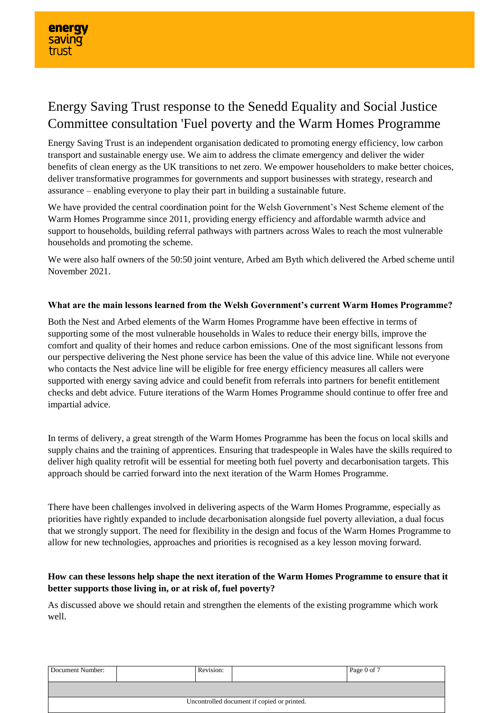# Energy Saving Trust response to the Senedd Equality and Social Justice Committee consultation 'Fuel poverty and the Warm Homes Programme

Energy Saving Trust is an independent organisation dedicated to promoting energy efficiency, low carbon transport and sustainable energy use. We aim to address the climate emergency and deliver the wider benefits of clean energy as the UK transitions to net zero. We empower householders to make better choices, deliver transformative programmes for governments and support businesses with strategy, research and assurance – enabling everyone to play their part in building a sustainable future.

We have provided the central coordination point for the Welsh Government's Nest Scheme element of the Warm Homes Programme since 2011, providing energy efficiency and affordable warmth advice and support to households, building referral pathways with partners across Wales to reach the most vulnerable households and promoting the scheme.

We were also half owners of the 50:50 joint venture, Arbed am Byth which delivered the Arbed scheme until November 2021.

### **What are the main lessons learned from the Welsh Government's current Warm Homes Programme?**

Both the Nest and Arbed elements of the Warm Homes Programme have been effective in terms of supporting some of the most vulnerable households in Wales to reduce their energy bills, improve the comfort and quality of their homes and reduce carbon emissions. One of the most significant lessons from our perspective delivering the Nest phone service has been the value of this advice line. While not everyone who contacts the Nest advice line will be eligible for free energy efficiency measures all callers were supported with energy saving advice and could benefit from referrals into partners for benefit entitlement checks and debt advice. Future iterations of the Warm Homes Programme should continue to offer free and impartial advice.

In terms of delivery, a great strength of the Warm Homes Programme has been the focus on local skills and supply chains and the training of apprentices. Ensuring that tradespeople in Wales have the skills required to deliver high quality retrofit will be essential for meeting both fuel poverty and decarbonisation targets. This approach should be carried forward into the next iteration of the Warm Homes Programme.

There have been challenges involved in delivering aspects of the Warm Homes Programme, especially as priorities have rightly expanded to include decarbonisation alongside fuel poverty alleviation, a dual focus that we strongly support. The need for flexibility in the design and focus of the Warm Homes Programme to allow for new technologies, approaches and priorities is recognised as a key lesson moving forward.

## **How can these lessons help shape the next iteration of the Warm Homes Programme to ensure that it better supports those living in, or at risk of, fuel poverty?**

As discussed above we should retain and strengthen the elements of the existing programme which work well.

| Document Number:                            |  | Revision: |  | Page 0 of 7 |
|---------------------------------------------|--|-----------|--|-------------|
|                                             |  |           |  |             |
| Uncontrolled document if copied or printed. |  |           |  |             |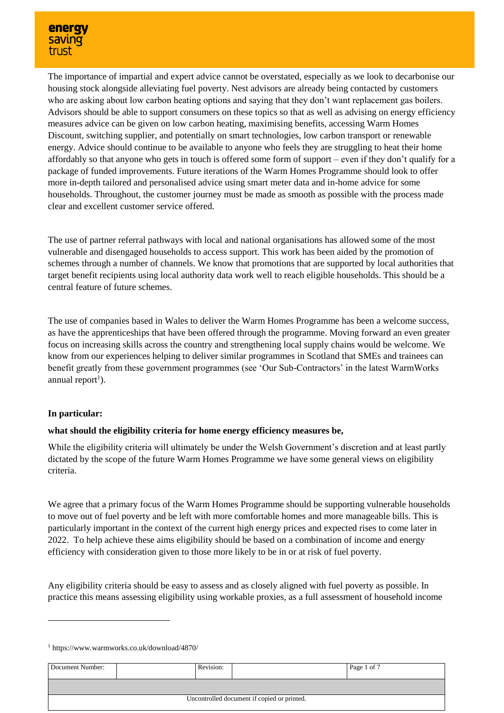

The importance of impartial and expert advice cannot be overstated, especially as we look to decarbonise our housing stock alongside alleviating fuel poverty. Nest advisors are already being contacted by customers who are asking about low carbon heating options and saying that they don't want replacement gas boilers. Advisors should be able to support consumers on these topics so that as well as advising on energy efficiency measures advice can be given on low carbon heating, maximising benefits, accessing Warm Homes Discount, switching supplier, and potentially on smart technologies, low carbon transport or renewable energy. Advice should continue to be available to anyone who feels they are struggling to heat their home affordably so that anyone who gets in touch is offered some form of support – even if they don't qualify for a package of funded improvements. Future iterations of the Warm Homes Programme should look to offer more in-depth tailored and personalised advice using smart meter data and in-home advice for some households. Throughout, the customer journey must be made as smooth as possible with the process made clear and excellent customer service offered.

The use of partner referral pathways with local and national organisations has allowed some of the most vulnerable and disengaged households to access support. This work has been aided by the promotion of schemes through a number of channels. We know that promotions that are supported by local authorities that target benefit recipients using local authority data work well to reach eligible households. This should be a central feature of future schemes.

The use of companies based in Wales to deliver the Warm Homes Programme has been a welcome success, as have the apprenticeships that have been offered through the programme. Moving forward an even greater focus on increasing skills across the country and strengthening local supply chains would be welcome. We know from our experiences helping to deliver similar programmes in Scotland that SMEs and trainees can benefit greatly from these government programmes (see 'Our Sub-Contractors' in the latest WarmWorks annual report<sup>1</sup>).

#### **In particular:**

-

#### **what should the eligibility criteria for home energy efficiency measures be,**

While the eligibility criteria will ultimately be under the Welsh Government's discretion and at least partly dictated by the scope of the future Warm Homes Programme we have some general views on eligibility criteria.

We agree that a primary focus of the Warm Homes Programme should be supporting vulnerable households to move out of fuel poverty and be left with more comfortable homes and more manageable bills. This is particularly important in the context of the current high energy prices and expected rises to come later in 2022. To help achieve these aims eligibility should be based on a combination of income and energy efficiency with consideration given to those more likely to be in or at risk of fuel poverty.

Any eligibility criteria should be easy to assess and as closely aligned with fuel poverty as possible. In practice this means assessing eligibility using workable proxies, as a full assessment of household income

<sup>1</sup> https://www.warmworks.co.uk/download/4870/

| Document Number:                            |  | Revision: |  | Page 1 of 7 |
|---------------------------------------------|--|-----------|--|-------------|
|                                             |  |           |  |             |
| Uncontrolled document if copied or printed. |  |           |  |             |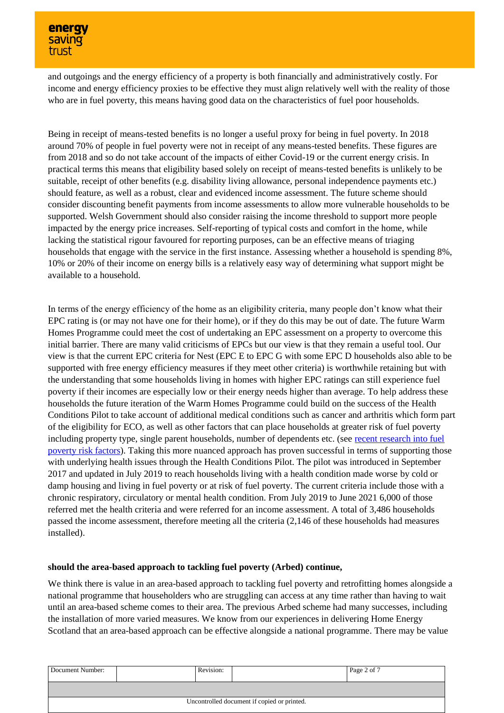and outgoings and the energy efficiency of a property is both financially and administratively costly. For income and energy efficiency proxies to be effective they must align relatively well with the reality of those who are in fuel poverty, this means having good data on the characteristics of fuel poor households.

Being in receipt of means-tested benefits is no longer a useful proxy for being in fuel poverty. In 2018 around 70% of people in fuel poverty were not in receipt of any means-tested benefits. These figures are from 2018 and so do not take account of the impacts of either Covid-19 or the current energy crisis. In practical terms this means that eligibility based solely on receipt of means-tested benefits is unlikely to be suitable, receipt of other benefits (e.g. disability living allowance, personal independence payments etc.) should feature, as well as a robust, clear and evidenced income assessment. The future scheme should consider discounting benefit payments from income assessments to allow more vulnerable households to be supported. Welsh Government should also consider raising the income threshold to support more people impacted by the energy price increases. Self-reporting of typical costs and comfort in the home, while lacking the statistical rigour favoured for reporting purposes, can be an effective means of triaging households that engage with the service in the first instance. Assessing whether a household is spending  $8\%$ , 10% or 20% of their income on energy bills is a relatively easy way of determining what support might be available to a household.

In terms of the energy efficiency of the home as an eligibility criteria, many people don't know what their EPC rating is (or may not have one for their home), or if they do this may be out of date. The future Warm Homes Programme could meet the cost of undertaking an EPC assessment on a property to overcome this initial barrier. There are many valid criticisms of EPCs but our view is that they remain a useful tool. Our view is that the current EPC criteria for Nest (EPC E to EPC G with some EPC D households also able to be supported with free energy efficiency measures if they meet other criteria) is worthwhile retaining but with the understanding that some households living in homes with higher EPC ratings can still experience fuel poverty if their incomes are especially low or their energy needs higher than average. To help address these households the future iteration of the Warm Homes Programme could build on the success of the Health Conditions Pilot to take account of additional medical conditions such as cancer and arthritis which form part of the eligibility for ECO, as well as other factors that can place households at greater risk of fuel poverty including property type, single parent households, number of dependents etc. (see [recent research into fuel](https://www.sciencedirect.com/science/article/pii/S2214629621004424#t0005)  [poverty risk factors\)](https://www.sciencedirect.com/science/article/pii/S2214629621004424#t0005). Taking this more nuanced approach has proven successful in terms of supporting those with underlying health issues through the Health Conditions Pilot. The pilot was introduced in September 2017 and updated in July 2019 to reach households living with a health condition made worse by cold or damp housing and living in fuel poverty or at risk of fuel poverty. The current criteria include those with a chronic respiratory, circulatory or mental health condition. From July 2019 to June 2021 6,000 of those referred met the health criteria and were referred for an income assessment. A total of 3,486 households passed the income assessment, therefore meeting all the criteria (2,146 of these households had measures installed).

## **should the area-based approach to tackling fuel poverty (Arbed) continue,**

We think there is value in an area-based approach to tackling fuel poverty and retrofitting homes alongside a national programme that householders who are struggling can access at any time rather than having to wait until an area-based scheme comes to their area. The previous Arbed scheme had many successes, including the installation of more varied measures. We know from our experiences in delivering Home Energy Scotland that an area-based approach can be effective alongside a national programme. There may be value

| Document Number:                            |  | Revision: |  | Page 2 of 7 |
|---------------------------------------------|--|-----------|--|-------------|
|                                             |  |           |  |             |
| Uncontrolled document if copied or printed. |  |           |  |             |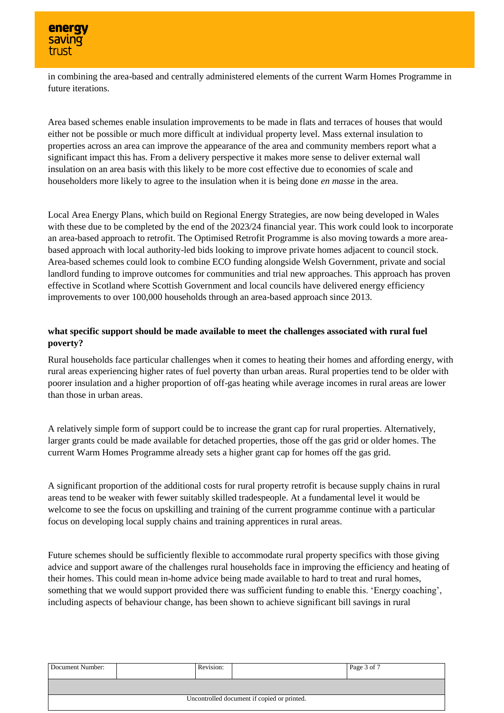in combining the area-based and centrally administered elements of the current Warm Homes Programme in future iterations.

Area based schemes enable insulation improvements to be made in flats and terraces of houses that would either not be possible or much more difficult at individual property level. Mass external insulation to properties across an area can improve the appearance of the area and community members report what a significant impact this has. From a delivery perspective it makes more sense to deliver external wall insulation on an area basis with this likely to be more cost effective due to economies of scale and householders more likely to agree to the insulation when it is being done *en masse* in the area.

Local Area Energy Plans, which build on Regional Energy Strategies, are now being developed in Wales with these due to be completed by the end of the 2023/24 financial year. This work could look to incorporate an area-based approach to retrofit. The Optimised Retrofit Programme is also moving towards a more areabased approach with local authority-led bids looking to improve private homes adjacent to council stock. Area-based schemes could look to combine ECO funding alongside Welsh Government, private and social landlord funding to improve outcomes for communities and trial new approaches. This approach has proven effective in Scotland where Scottish Government and local councils have delivered energy efficiency improvements to over 100,000 households through an area-based approach since 2013.

# **what specific support should be made available to meet the challenges associated with rural fuel poverty?**

Rural households face particular challenges when it comes to heating their homes and affording energy, with rural areas experiencing higher rates of fuel poverty than urban areas. Rural properties tend to be older with poorer insulation and a higher proportion of off-gas heating while average incomes in rural areas are lower than those in urban areas.

A relatively simple form of support could be to increase the grant cap for rural properties. Alternatively, larger grants could be made available for detached properties, those off the gas grid or older homes. The current Warm Homes Programme already sets a higher grant cap for homes off the gas grid.

A significant proportion of the additional costs for rural property retrofit is because supply chains in rural areas tend to be weaker with fewer suitably skilled tradespeople. At a fundamental level it would be welcome to see the focus on upskilling and training of the current programme continue with a particular focus on developing local supply chains and training apprentices in rural areas.

Future schemes should be sufficiently flexible to accommodate rural property specifics with those giving advice and support aware of the challenges rural households face in improving the efficiency and heating of their homes. This could mean in-home advice being made available to hard to treat and rural homes, something that we would support provided there was sufficient funding to enable this. 'Energy coaching', including aspects of behaviour change, has been shown to achieve significant bill savings in rural

| Document Number:                            |  | Revision: |  | Page 3 of 7 |
|---------------------------------------------|--|-----------|--|-------------|
|                                             |  |           |  |             |
| Uncontrolled document if copied or printed. |  |           |  |             |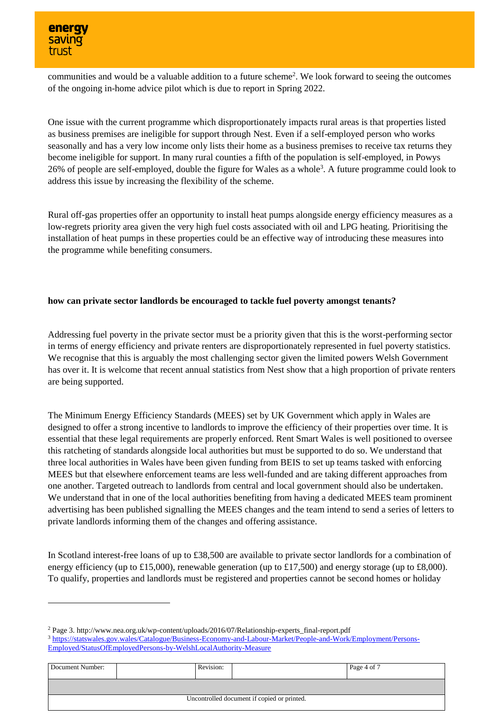

-

communities and would be a valuable addition to a future scheme<sup>2</sup>. We look forward to seeing the outcomes of the ongoing in-home advice pilot which is due to report in Spring 2022.

One issue with the current programme which disproportionately impacts rural areas is that properties listed as business premises are ineligible for support through Nest. Even if a self-employed person who works seasonally and has a very low income only lists their home as a business premises to receive tax returns they become ineligible for support. In many rural counties a fifth of the population is self-employed, in Powys 26% of people are self-employed, double the figure for Wales as a whole<sup>3</sup>. A future programme could look to address this issue by increasing the flexibility of the scheme.

Rural off-gas properties offer an opportunity to install heat pumps alongside energy efficiency measures as a low-regrets priority area given the very high fuel costs associated with oil and LPG heating. Prioritising the installation of heat pumps in these properties could be an effective way of introducing these measures into the programme while benefiting consumers.

#### **how can private sector landlords be encouraged to tackle fuel poverty amongst tenants?**

Addressing fuel poverty in the private sector must be a priority given that this is the worst-performing sector in terms of energy efficiency and private renters are disproportionately represented in fuel poverty statistics. We recognise that this is arguably the most challenging sector given the limited powers Welsh Government has over it. It is welcome that recent annual statistics from Nest show that a high proportion of private renters are being supported.

The Minimum Energy Efficiency Standards (MEES) set by UK Government which apply in Wales are designed to offer a strong incentive to landlords to improve the efficiency of their properties over time. It is essential that these legal requirements are properly enforced. Rent Smart Wales is well positioned to oversee this ratcheting of standards alongside local authorities but must be supported to do so. We understand that three local authorities in Wales have been given funding from BEIS to set up teams tasked with enforcing MEES but that elsewhere enforcement teams are less well-funded and are taking different approaches from one another. Targeted outreach to landlords from central and local government should also be undertaken. We understand that in one of the local authorities benefiting from having a dedicated MEES team prominent advertising has been published signalling the MEES changes and the team intend to send a series of letters to private landlords informing them of the changes and offering assistance.

In Scotland interest-free loans of up to £38,500 are available to private sector landlords for a combination of energy efficiency (up to £15,000), renewable generation (up to £17,500) and energy storage (up to £8,000). To qualify, properties and landlords must be registered and properties cannot be second homes or holiday

<sup>2</sup> Page 3. http://www.nea.org.uk/wp-content/uploads/2016/07/Relationship-experts\_final-report.pdf <sup>3</sup> [https://statswales.gov.wales/Catalogue/Business-Economy-and-Labour-Market/People-and-Work/Employment/Persons-](https://statswales.gov.wales/Catalogue/Business-Economy-and-Labour-Market/People-and-Work/Employment/Persons-Employed/StatusOfEmployedPersons-by-WelshLocalAuthority-Measure)[Employed/StatusOfEmployedPersons-by-WelshLocalAuthority-Measure](https://statswales.gov.wales/Catalogue/Business-Economy-and-Labour-Market/People-and-Work/Employment/Persons-Employed/StatusOfEmployedPersons-by-WelshLocalAuthority-Measure)

Document Number: Revision: Revision: Page 4 of 7 Uncontrolled document if copied or printed.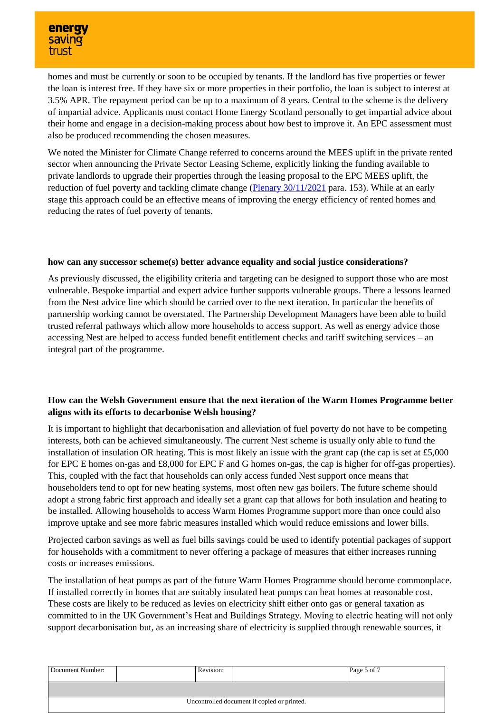homes and must be currently or soon to be occupied by tenants. If the landlord has five properties or fewer the loan is interest free. If they have six or more properties in their portfolio, the loan is subject to interest at 3.5% APR. The repayment period can be up to a maximum of 8 years. Central to the scheme is the delivery of impartial advice. Applicants must contact Home Energy Scotland personally to get impartial advice about their home and engage in a decision-making process about how best to improve it. An EPC assessment must also be produced recommending the chosen measures.

We noted the Minister for Climate Change referred to concerns around the MEES uplift in the private rented sector when announcing the Private Sector Leasing Scheme, explicitly linking the funding available to private landlords to upgrade their properties through the leasing proposal to the EPC MEES uplift, the reduction of fuel poverty and tackling climate change [\(Plenary 30/11/2021](https://record.assembly.wales/Plenary/12499#A68724) para. 153). While at an early stage this approach could be an effective means of improving the energy efficiency of rented homes and reducing the rates of fuel poverty of tenants.

### **how can any successor scheme(s) better advance equality and social justice considerations?**

As previously discussed, the eligibility criteria and targeting can be designed to support those who are most vulnerable. Bespoke impartial and expert advice further supports vulnerable groups. There a lessons learned from the Nest advice line which should be carried over to the next iteration. In particular the benefits of partnership working cannot be overstated. The Partnership Development Managers have been able to build trusted referral pathways which allow more households to access support. As well as energy advice those accessing Nest are helped to access funded benefit entitlement checks and tariff switching services – an integral part of the programme.

## **How can the Welsh Government ensure that the next iteration of the Warm Homes Programme better aligns with its efforts to decarbonise Welsh housing?**

It is important to highlight that decarbonisation and alleviation of fuel poverty do not have to be competing interests, both can be achieved simultaneously. The current Nest scheme is usually only able to fund the installation of insulation OR heating. This is most likely an issue with the grant cap (the cap is set at £5,000 for EPC E homes on-gas and £8,000 for EPC F and G homes on-gas, the cap is higher for off-gas properties). This, coupled with the fact that households can only access funded Nest support once means that householders tend to opt for new heating systems, most often new gas boilers. The future scheme should adopt a strong fabric first approach and ideally set a grant cap that allows for both insulation and heating to be installed. Allowing households to access Warm Homes Programme support more than once could also improve uptake and see more fabric measures installed which would reduce emissions and lower bills.

Projected carbon savings as well as fuel bills savings could be used to identify potential packages of support for households with a commitment to never offering a package of measures that either increases running costs or increases emissions.

The installation of heat pumps as part of the future Warm Homes Programme should become commonplace. If installed correctly in homes that are suitably insulated heat pumps can heat homes at reasonable cost. These costs are likely to be reduced as levies on electricity shift either onto gas or general taxation as committed to in the UK Government's Heat and Buildings Strategy. Moving to electric heating will not only support decarbonisation but, as an increasing share of electricity is supplied through renewable sources, it

| Document Number:                            |  | Revision: |  | Page 5 of 7 |
|---------------------------------------------|--|-----------|--|-------------|
|                                             |  |           |  |             |
| Uncontrolled document if copied or printed. |  |           |  |             |